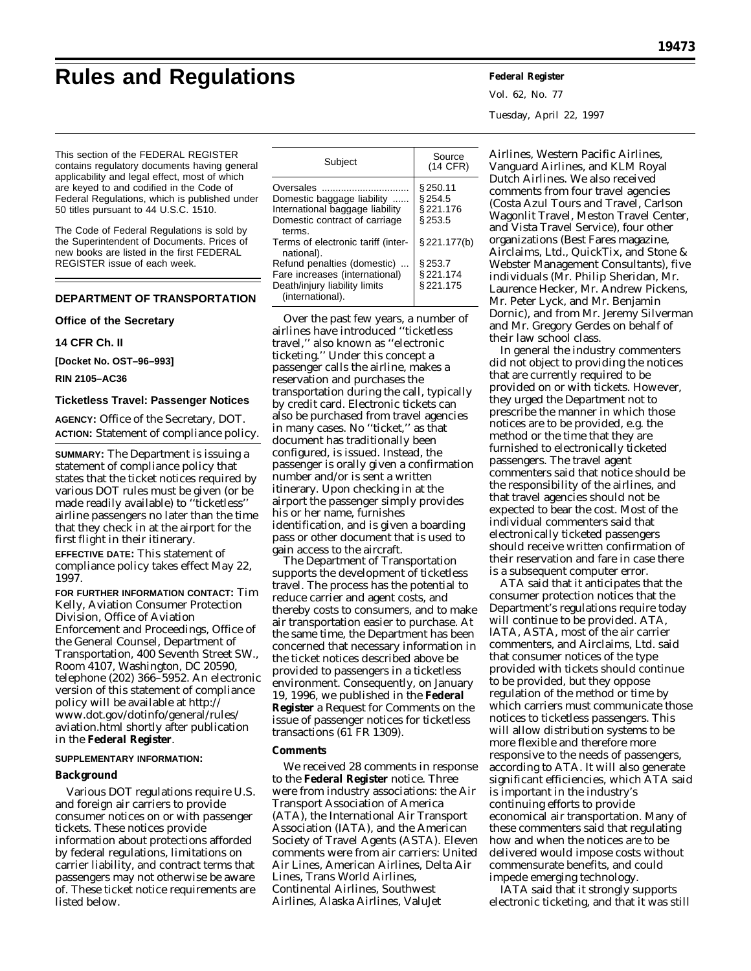# **Rules and Regulations Federal Register**

Vol. 62, No. 77 Tuesday, April 22, 1997

This section of the FEDERAL REGISTER contains regulatory documents having general applicability and legal effect, most of which are keyed to and codified in the Code of Federal Regulations, which is published under 50 titles pursuant to 44 U.S.C. 1510.

The Code of Federal Regulations is sold by the Superintendent of Documents. Prices of new books are listed in the first FEDERAL REGISTER issue of each week.

# **DEPARTMENT OF TRANSPORTATION**

## **Office of the Secretary**

**14 CFR Ch. II**

**[Docket No. OST–96–993]**

**RIN 2105–AC36**

## **Ticketless Travel: Passenger Notices**

**AGENCY:** Office of the Secretary, DOT. **ACTION:** Statement of compliance policy.

**SUMMARY:** The Department is issuing a statement of compliance policy that states that the ticket notices required by various DOT rules must be given (or be made readily available) to ''ticketless'' airline passengers no later than the time that they check in at the airport for the first flight in their itinerary.

**EFFECTIVE DATE:** This statement of compliance policy takes effect May 22, 1997.

**FOR FURTHER INFORMATION CONTACT:** Tim Kelly, Aviation Consumer Protection Division, Office of Aviation Enforcement and Proceedings, Office of the General Counsel, Department of Transportation, 400 Seventh Street SW., Room 4107, Washington, DC 20590, telephone (202) 366–5952. An electronic version of this statement of compliance policy will be available at http:// www.dot.gov/dotinfo/general/rules/ aviation.html shortly after publication in the **Federal Register**.

#### **SUPPLEMENTARY INFORMATION:**

## **Background**

Various DOT regulations require U.S. and foreign air carriers to provide consumer notices on or with passenger tickets. These notices provide information about protections afforded by federal regulations, limitations on carrier liability, and contract terms that passengers may not otherwise be aware of. These ticket notice requirements are listed below.

| Subject                                                                                                                                                                | Source<br>(14 CFR)                                |
|------------------------------------------------------------------------------------------------------------------------------------------------------------------------|---------------------------------------------------|
| Oversales<br>Domestic baggage liability<br>International baggage liability<br>Domestic contract of carriage<br>terms.                                                  | § 250.11<br>§254.5<br>§221.176<br>§253.5          |
| Terms of electronic tariff (inter-<br>national).<br>Refund penalties (domestic)<br>Fare increases (international)<br>Death/injury liability limits<br>(international). | $§$ 221.177(b)<br>§ 253.7<br>§221.174<br>§221.175 |

Over the past few years, a number of airlines have introduced ''ticketless travel,'' also known as ''electronic ticketing.'' Under this concept a passenger calls the airline, makes a reservation and purchases the transportation during the call, typically by credit card. Electronic tickets can also be purchased from travel agencies in many cases. No ''ticket,'' as that document has traditionally been configured, is issued. Instead, the passenger is orally given a confirmation number and/or is sent a written itinerary. Upon checking in at the airport the passenger simply provides his or her name, furnishes identification, and is given a boarding pass or other document that is used to gain access to the aircraft.

The Department of Transportation supports the development of ticketless travel. The process has the potential to reduce carrier and agent costs, and thereby costs to consumers, and to make air transportation easier to purchase. At the same time, the Department has been concerned that necessary information in the ticket notices described above be provided to passengers in a ticketless environment. Consequently, on January 19, 1996, we published in the **Federal Register** a Request for Comments on the issue of passenger notices for ticketless transactions (61 FR 1309).

## **Comments**

We received 28 comments in response to the **Federal Register** notice. Three were from industry associations: the Air Transport Association of America (ATA), the International Air Transport Association (IATA), and the American Society of Travel Agents (ASTA). Eleven comments were from air carriers: United Air Lines, American Airlines, Delta Air Lines, Trans World Airlines, Continental Airlines, Southwest Airlines, Alaska Airlines, ValuJet

Airlines, Western Pacific Airlines, Vanguard Airlines, and KLM Royal Dutch Airlines. We also received comments from four travel agencies (Costa Azul Tours and Travel, Carlson Wagonlit Travel, Meston Travel Center, and Vista Travel Service), four other organizations (Best Fares magazine, Airclaims, Ltd., QuickTix, and Stone & Webster Management Consultants), five individuals (Mr. Philip Sheridan, Mr. Laurence Hecker, Mr. Andrew Pickens, Mr. Peter Lyck, and Mr. Benjamin Dornic), and from Mr. Jeremy Silverman and Mr. Gregory Gerdes on behalf of their law school class.

In general the industry commenters did not object to providing the notices that are currently required to be provided on or with tickets. However, they urged the Department not to prescribe the manner in which those notices are to be provided, e.g. the method or the time that they are furnished to electronically ticketed passengers. The travel agent commenters said that notice should be the responsibility of the airlines, and that travel agencies should not be expected to bear the cost. Most of the individual commenters said that electronically ticketed passengers should receive written confirmation of their reservation and fare in case there is a subsequent computer error.

ATA said that it anticipates that the consumer protection notices that the Department's regulations require today will continue to be provided. ATA, IATA, ASTA, most of the air carrier commenters, and Airclaims, Ltd. said that consumer notices of the type provided with tickets should continue to be provided, but they oppose regulation of the method or time by which carriers must communicate those notices to ticketless passengers. This will allow distribution systems to be more flexible and therefore more responsive to the needs of passengers, according to ATA. It will also generate significant efficiencies, which ATA said is important in the industry's continuing efforts to provide economical air transportation. Many of these commenters said that regulating how and when the notices are to be delivered would impose costs without commensurate benefits, and could impede emerging technology.

IATA said that it strongly supports electronic ticketing, and that it was still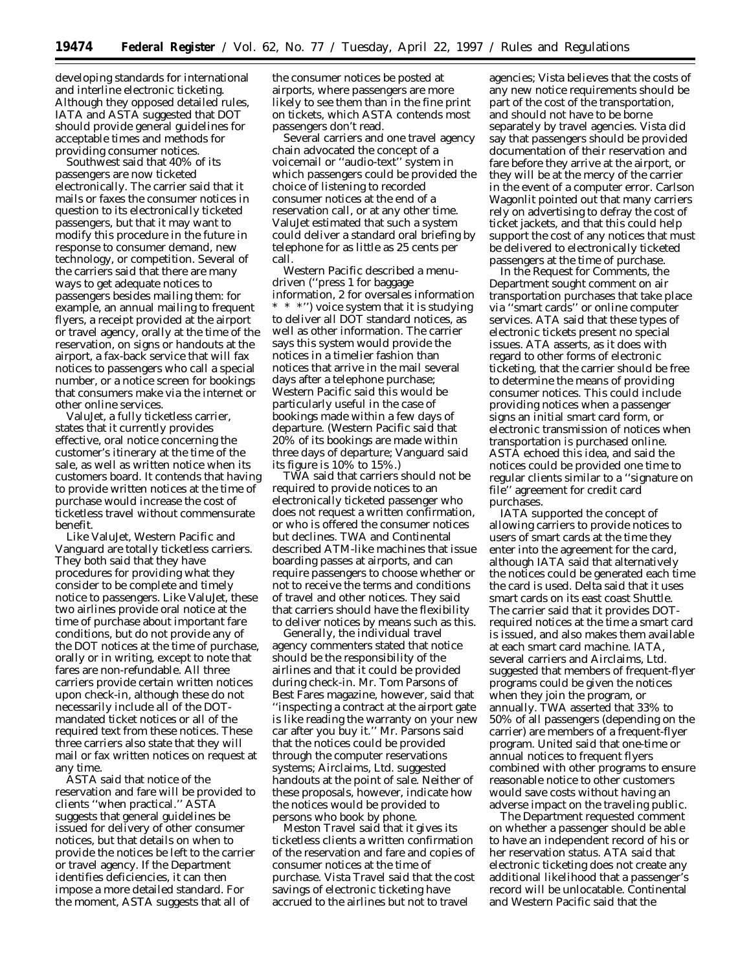developing standards for international and interline electronic ticketing. Although they opposed detailed rules, IATA and ASTA suggested that DOT should provide general guidelines for acceptable times and methods for providing consumer notices.

Southwest said that 40% of its passengers are now ticketed electronically. The carrier said that it mails or faxes the consumer notices in question to its electronically ticketed passengers, but that it may want to modify this procedure in the future in response to consumer demand, new technology, or competition. Several of the carriers said that there are many ways to get adequate notices to passengers besides mailing them: for example, an annual mailing to frequent flyers, a receipt provided at the airport or travel agency, orally at the time of the reservation, on signs or handouts at the airport, a fax-back service that will fax notices to passengers who call a special number, or a notice screen for bookings that consumers make via the internet or other online services.

ValuJet, a fully ticketless carrier, states that it currently provides effective, oral notice concerning the customer's itinerary at the time of the sale, as well as written notice when its customers board. It contends that having to provide written notices at the time of purchase would increase the cost of ticketless travel without commensurate benefit.

Like ValuJet, Western Pacific and Vanguard are totally ticketless carriers. They both said that they have procedures for providing what they consider to be complete and timely notice to passengers. Like ValuJet, these two airlines provide oral notice at the time of purchase about important fare conditions, but do not provide any of the DOT notices at the time of purchase, orally or in writing, except to note that fares are non-refundable. All three carriers provide certain written notices upon check-in, although these do not necessarily include all of the DOTmandated ticket notices or all of the required text from these notices. These three carriers also state that they will mail or fax written notices on request at any time.

ASTA said that notice of the reservation and fare will be provided to clients ''when practical.'' ASTA suggests that general guidelines be issued for delivery of other consumer notices, but that details on when to provide the notices be left to the carrier or travel agency. If the Department identifies deficiencies, it can then impose a more detailed standard. For the moment, ASTA suggests that all of

the consumer notices be posted at airports, where passengers are more likely to see them than in the fine print on tickets, which ASTA contends most passengers don't read.

Several carriers and one travel agency chain advocated the concept of a voicemail or ''audio-text'' system in which passengers could be provided the choice of listening to recorded consumer notices at the end of a reservation call, or at any other time. ValuJet estimated that such a system could deliver a standard oral briefing by telephone for as little as 25 cents per call.

Western Pacific described a menudriven (''press 1 for baggage information, 2 for oversales information \* \* \*'') voice system that it is studying to deliver all DOT standard notices, as well as other information. The carrier says this system would provide the notices in a timelier fashion than notices that arrive in the mail several days after a telephone purchase; Western Pacific said this would be particularly useful in the case of bookings made within a few days of departure. (Western Pacific said that 20% of its bookings are made within three days of departure; Vanguard said its figure is 10% to 15%.)

TWA said that carriers should not be required to provide notices to an electronically ticketed passenger who does not request a written confirmation, or who is offered the consumer notices but declines. TWA and Continental described ATM-like machines that issue boarding passes at airports, and can require passengers to choose whether or not to receive the terms and conditions of travel and other notices. They said that carriers should have the flexibility to deliver notices by means such as this.

Generally, the individual travel agency commenters stated that notice should be the responsibility of the airlines and that it could be provided during check-in. Mr. Tom Parsons of Best Fares magazine, however, said that ''inspecting a contract at the airport gate is like reading the warranty on your new car after you buy it.'' Mr. Parsons said that the notices could be provided through the computer reservations systems; Airclaims, Ltd. suggested handouts at the point of sale. Neither of these proposals, however, indicate how the notices would be provided to persons who book by phone.

Meston Travel said that it gives its ticketless clients a written confirmation of the reservation and fare and copies of consumer notices at the time of purchase. Vista Travel said that the cost savings of electronic ticketing have accrued to the airlines but not to travel

agencies; Vista believes that the costs of any new notice requirements should be part of the cost of the transportation, and should not have to be borne separately by travel agencies. Vista did say that passengers should be provided documentation of their reservation and fare before they arrive at the airport, or they will be at the mercy of the carrier in the event of a computer error. Carlson Wagonlit pointed out that many carriers rely on advertising to defray the cost of ticket jackets, and that this could help support the cost of any notices that must be delivered to electronically ticketed passengers at the time of purchase.

In the Request for Comments, the Department sought comment on air transportation purchases that take place via ''smart cards'' or online computer services. ATA said that these types of electronic tickets present no special issues. ATA asserts, as it does with regard to other forms of electronic ticketing, that the carrier should be free to determine the means of providing consumer notices. This could include providing notices when a passenger signs an initial smart card form, or electronic transmission of notices when transportation is purchased online. ASTA echoed this idea, and said the notices could be provided one time to regular clients similar to a ''signature on file'' agreement for credit card purchases.

IATA supported the concept of allowing carriers to provide notices to users of smart cards at the time they enter into the agreement for the card, although IATA said that alternatively the notices could be generated each time the card is used. Delta said that it uses smart cards on its east coast Shuttle. The carrier said that it provides DOTrequired notices at the time a smart card is issued, and also makes them available at each smart card machine. IATA, several carriers and Airclaims, Ltd. suggested that members of frequent-flyer programs could be given the notices when they join the program, or annually. TWA asserted that 33% to 50% of all passengers (depending on the carrier) are members of a frequent-flyer program. United said that one-time or annual notices to frequent flyers combined with other programs to ensure reasonable notice to other customers would save costs without having an adverse impact on the traveling public.

The Department requested comment on whether a passenger should be able to have an independent record of his or her reservation status. ATA said that electronic ticketing does not create any additional likelihood that a passenger's record will be unlocatable. Continental and Western Pacific said that the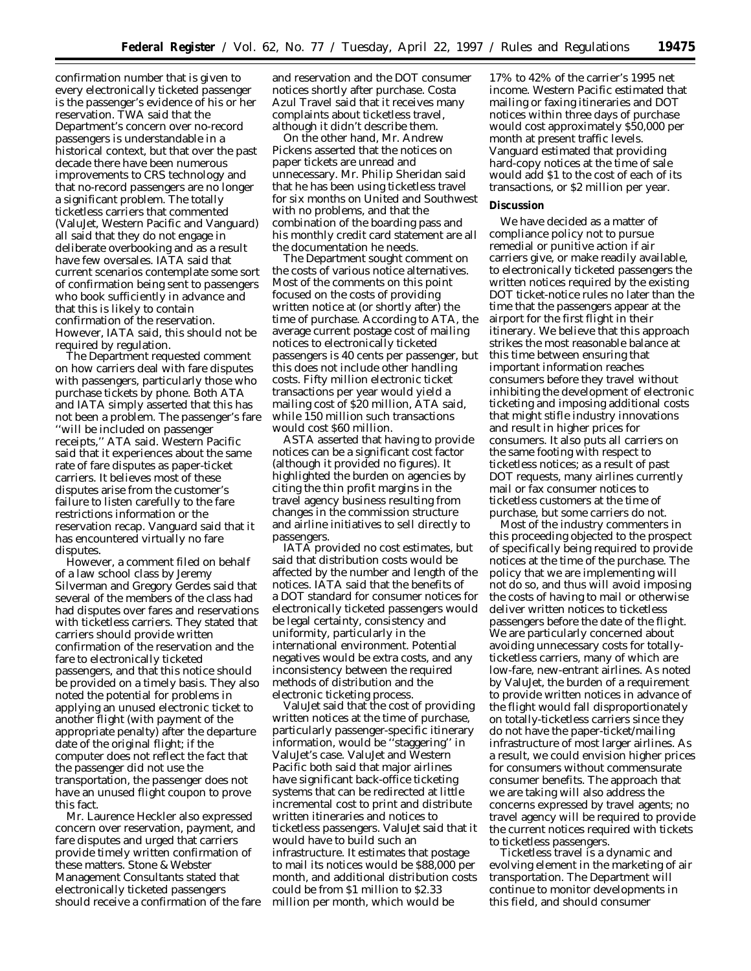confirmation number that is given to every electronically ticketed passenger is the passenger's evidence of his or her reservation. TWA said that the Department's concern over no-record passengers is understandable in a historical context, but that over the past decade there have been numerous improvements to CRS technology and that no-record passengers are no longer a significant problem. The totally ticketless carriers that commented (ValuJet, Western Pacific and Vanguard) all said that they do not engage in deliberate overbooking and as a result have few oversales. IATA said that current scenarios contemplate some sort of confirmation being sent to passengers who book sufficiently in advance and that this is likely to contain confirmation of the reservation. However, IATA said, this should not be required by regulation.

The Department requested comment on how carriers deal with fare disputes with passengers, particularly those who purchase tickets by phone. Both ATA and IATA simply asserted that this has not been a problem. The passenger's fare ''will be included on passenger receipts,'' ATA said. Western Pacific said that it experiences about the same rate of fare disputes as paper-ticket carriers. It believes most of these disputes arise from the customer's failure to listen carefully to the fare restrictions information or the reservation recap. Vanguard said that it has encountered virtually no fare disputes.

However, a comment filed on behalf of a law school class by Jeremy Silverman and Gregory Gerdes said that several of the members of the class had had disputes over fares and reservations with ticketless carriers. They stated that carriers should provide written confirmation of the reservation and the fare to electronically ticketed passengers, and that this notice should be provided on a timely basis. They also noted the potential for problems in applying an unused electronic ticket to another flight (with payment of the appropriate penalty) after the departure date of the original flight; if the computer does not reflect the fact that the passenger did not use the transportation, the passenger does not have an unused flight coupon to prove this fact.

Mr. Laurence Heckler also expressed concern over reservation, payment, and fare disputes and urged that carriers provide timely written confirmation of these matters. Stone & Webster Management Consultants stated that electronically ticketed passengers should receive a confirmation of the fare and reservation and the DOT consumer notices shortly after purchase. Costa Azul Travel said that it receives many complaints about ticketless travel, although it didn't describe them.

On the other hand, Mr. Andrew Pickens asserted that the notices on paper tickets are unread and unnecessary. Mr. Philip Sheridan said that he has been using ticketless travel for six months on United and Southwest with no problems, and that the combination of the boarding pass and his monthly credit card statement are all the documentation he needs.

The Department sought comment on the costs of various notice alternatives. Most of the comments on this point focused on the costs of providing written notice at (or shortly after) the time of purchase. According to ATA, the average current postage cost of mailing notices to electronically ticketed passengers is 40 cents per passenger, but this does not include other handling costs. Fifty million electronic ticket transactions per year would yield a mailing cost of \$20 million, ATA said, while 150 million such transactions would cost \$60 million.

ASTA asserted that having to provide notices can be a significant cost factor (although it provided no figures). It highlighted the burden on agencies by citing the thin profit margins in the travel agency business resulting from changes in the commission structure and airline initiatives to sell directly to passengers.

IATA provided no cost estimates, but said that distribution costs would be affected by the number and length of the notices. IATA said that the benefits of a DOT standard for consumer notices for electronically ticketed passengers would be legal certainty, consistency and uniformity, particularly in the international environment. Potential negatives would be extra costs, and any inconsistency between the required methods of distribution and the electronic ticketing process.

ValuJet said that the cost of providing written notices at the time of purchase, particularly passenger-specific itinerary information, would be ''staggering'' in ValuJet's case. ValuJet and Western Pacific both said that major airlines have significant back-office ticketing systems that can be redirected at little incremental cost to print and distribute written itineraries and notices to ticketless passengers. ValuJet said that it would have to build such an infrastructure. It estimates that postage to mail its notices would be \$88,000 per month, and additional distribution costs could be from \$1 million to \$2.33 million per month, which would be

17% to 42% of the carrier's 1995 net income. Western Pacific estimated that mailing or faxing itineraries and DOT notices within three days of purchase would cost approximately \$50,000 per month at present traffic levels. Vanguard estimated that providing hard-copy notices at the time of sale would add \$1 to the cost of each of its transactions, or \$2 million per year.

#### **Discussion**

We have decided as a matter of compliance policy not to pursue remedial or punitive action if air carriers give, or make readily available, to electronically ticketed passengers the written notices required by the existing DOT ticket-notice rules no later than the time that the passengers appear at the airport for the first flight in their itinerary. We believe that this approach strikes the most reasonable balance at this time between ensuring that important information reaches consumers before they travel without inhibiting the development of electronic ticketing and imposing additional costs that might stifle industry innovations and result in higher prices for consumers. It also puts all carriers on the same footing with respect to ticketless notices; as a result of past DOT requests, many airlines currently mail or fax consumer notices to ticketless customers at the time of purchase, but some carriers do not.

Most of the industry commenters in this proceeding objected to the prospect of specifically being required to provide notices at the time of the purchase. The policy that we are implementing will not do so, and thus will avoid imposing the costs of having to mail or otherwise deliver written notices to ticketless passengers before the date of the flight. We are particularly concerned about avoiding unnecessary costs for totallyticketless carriers, many of which are low-fare, new-entrant airlines. As noted by ValuJet, the burden of a requirement to provide written notices in advance of the flight would fall disproportionately on totally-ticketless carriers since they do not have the paper-ticket/mailing infrastructure of most larger airlines. As a result, we could envision higher prices for consumers without commensurate consumer benefits. The approach that we are taking will also address the concerns expressed by travel agents; no travel agency will be required to provide the current notices required with tickets to ticketless passengers.

Ticketless travel is a dynamic and evolving element in the marketing of air transportation. The Department will continue to monitor developments in this field, and should consumer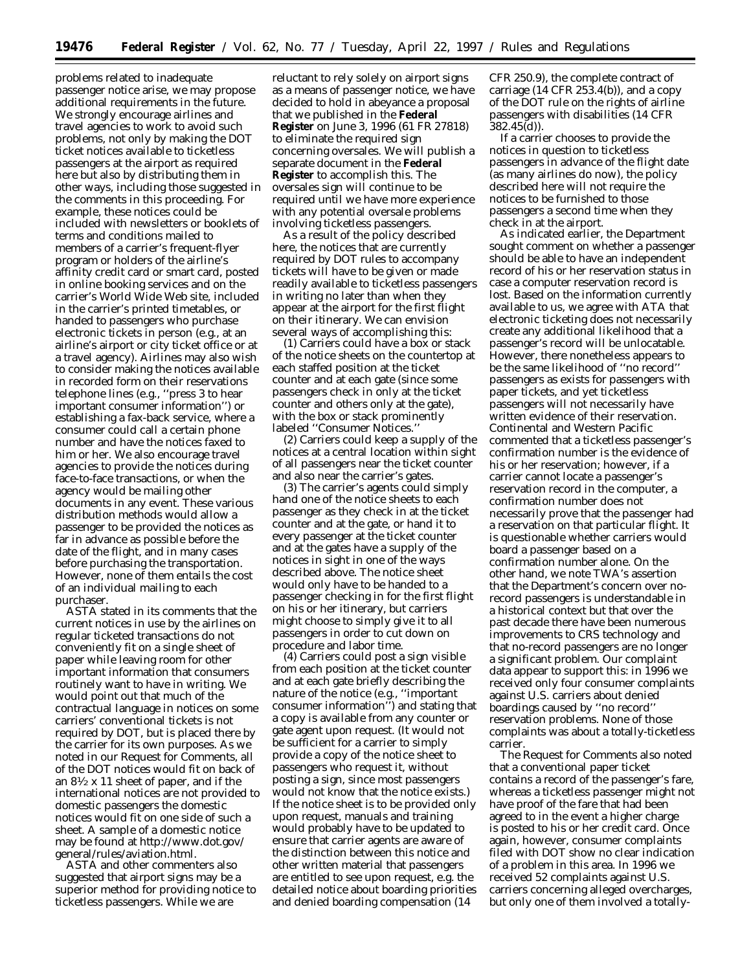problems related to inadequate passenger notice arise, we may propose additional requirements in the future. We strongly encourage airlines and travel agencies to work to avoid such problems, not only by making the DOT ticket notices available to ticketless passengers at the airport as required here but also by distributing them in other ways, including those suggested in the comments in this proceeding. For example, these notices could be included with newsletters or booklets of terms and conditions mailed to members of a carrier's frequent-flyer program or holders of the airline's affinity credit card or smart card, posted in online booking services and on the carrier's World Wide Web site, included in the carrier's printed timetables, or handed to passengers who purchase electronic tickets in person (e.g., at an airline's airport or city ticket office or at a travel agency). Airlines may also wish to consider making the notices available in recorded form on their reservations telephone lines (e.g., ''press 3 to hear important consumer information'') or establishing a fax-back service, where a consumer could call a certain phone number and have the notices faxed to him or her. We also encourage travel agencies to provide the notices during face-to-face transactions, or when the agency would be mailing other documents in any event. These various distribution methods would allow a passenger to be provided the notices as far in advance as possible before the date of the flight, and in many cases before purchasing the transportation. However, none of them entails the cost of an individual mailing to each purchaser.

ASTA stated in its comments that the current notices in use by the airlines on regular ticketed transactions do not conveniently fit on a single sheet of paper while leaving room for other important information that consumers routinely want to have in writing. We would point out that much of the contractual language in notices on some carriers' conventional tickets is not required by DOT, but is placed there by the carrier for its own purposes. As we noted in our Request for Comments, all of the DOT notices would fit on back of an  $8\frac{1}{2}$  x 11 sheet of paper, and if the international notices are not provided to domestic passengers the domestic notices would fit on one side of such a sheet. A sample of a domestic notice may be found at http://www.dot.gov/ general/rules/aviation.html.

ASTA and other commenters also suggested that airport signs may be a superior method for providing notice to ticketless passengers. While we are

reluctant to rely solely on airport signs as a means of passenger notice, we have decided to hold in abeyance a proposal that we published in the **Federal Register** on June 3, 1996 (61 FR 27818) to eliminate the required sign concerning oversales. We will publish a separate document in the **Federal Register** to accomplish this. The oversales sign will continue to be required until we have more experience with any potential oversale problems involving ticketless passengers.

As a result of the policy described here, the notices that are currently required by DOT rules to accompany tickets will have to be given or made readily available to ticketless passengers in writing no later than when they appear at the airport for the first flight on their itinerary. We can envision several ways of accomplishing this:

(1) Carriers could have a box or stack of the notice sheets on the countertop at each staffed position at the ticket counter and at each gate (since some passengers check in only at the ticket counter and others only at the gate), with the box or stack prominently labeled ''Consumer Notices.''

(2) Carriers could keep a supply of the notices at a central location within sight of all passengers near the ticket counter and also near the carrier's gates.

(3) The carrier's agents could simply hand one of the notice sheets to each passenger as they check in at the ticket counter and at the gate, or hand it to every passenger at the ticket counter and at the gates have a supply of the notices in sight in one of the ways described above. The notice sheet would only have to be handed to a passenger checking in for the first flight on his or her itinerary, but carriers might choose to simply give it to all passengers in order to cut down on procedure and labor time.

(4) Carriers could post a sign visible from each position at the ticket counter and at each gate briefly describing the nature of the notice (e.g., ''important consumer information'') and stating that a copy is available from any counter or gate agent upon request. (It would not be sufficient for a carrier to simply provide a copy of the notice sheet to passengers who request it, without posting a sign, since most passengers would not know that the notice exists.) If the notice sheet is to be provided only upon request, manuals and training would probably have to be updated to ensure that carrier agents are aware of the distinction between this notice and other written material that passengers are entitled to see upon request, e.g. the detailed notice about boarding priorities and denied boarding compensation (14

CFR 250.9), the complete contract of carriage (14 CFR 253.4(b)), and a copy of the DOT rule on the rights of airline passengers with disabilities (14 CFR 382.45(d)).

If a carrier chooses to provide the notices in question to ticketless passengers in advance of the flight date (as many airlines do now), the policy described here will not require the notices to be furnished to those passengers a second time when they check in at the airport.

As indicated earlier, the Department sought comment on whether a passenger should be able to have an independent record of his or her reservation status in case a computer reservation record is lost. Based on the information currently available to us, we agree with ATA that electronic ticketing does not necessarily create any additional likelihood that a passenger's record will be unlocatable. However, there nonetheless appears to be the same likelihood of ''no record'' passengers as exists for passengers with paper tickets, and yet ticketless passengers will not necessarily have written evidence of their reservation. Continental and Western Pacific commented that a ticketless passenger's confirmation number is the evidence of his or her reservation; however, if a carrier cannot locate a passenger's reservation record in the computer, a confirmation number does not necessarily prove that the passenger had a reservation on that particular flight. It is questionable whether carriers would board a passenger based on a confirmation number alone. On the other hand, we note TWA's assertion that the Department's concern over norecord passengers is understandable in a historical context but that over the past decade there have been numerous improvements to CRS technology and that no-record passengers are no longer a significant problem. Our complaint data appear to support this: in 1996 we received only four consumer complaints against U.S. carriers about denied boardings caused by ''no record'' reservation problems. None of those complaints was about a totally-ticketless carrier.

The Request for Comments also noted that a conventional paper ticket contains a record of the passenger's fare, whereas a ticketless passenger might not have proof of the fare that had been agreed to in the event a higher charge is posted to his or her credit card. Once again, however, consumer complaints filed with DOT show no clear indication of a problem in this area. In 1996 we received 52 complaints against U.S. carriers concerning alleged overcharges, but only one of them involved a totally